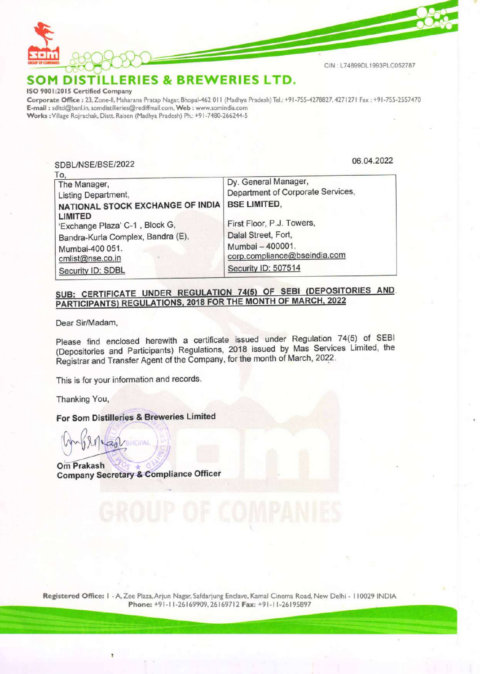

SOM DISTILLERIES & BREWERIES LTD.<br>ISO 9001:2015 Certified Company

Corporate Office : 23, Zone-ll, Maharana Pratap Nagar, Bhopal-462 011 (Madhya Pradesh) Tel.: +91-755-4278827, 4271271 Fax :+91-755-2557470 E-mail : sditd@bsnl.in, somdistilleries@rediffmail.com, Web: www.somindia.com Works : Village Rojrachak, Distt. Raisen (Madhya Pradesh) Ph.: +91-7480-266244-5 **Example 18 CONCORRENT SERVERS**<br>
1 DISTILLERIES & BREWE<br>
2015 Certified Company<br>
te Office : 23, Zone-II, Maharana Pratap Nagar, Bhopal-462 011<br>
dItd@bsnl.in, somdistilleries@rediffmail.com, Web : www.somin<br>
illage Rojrach

Dy. General Ma<br>Department of C<br>BSE LIMITED,<br>First Floor, P.J.<br>Dalal Street, Fo<br>Mumbai – 40000<br>corp.compliance SDBL/NSE/BSE/2022 06.04.2022 To, The Manager, **Dy. General Manager**, Listing Department,<br>
NATIONAL STOCK EXCHANGE OF INDIA BSE LIMITED, NATIONAL STOCK EXCHANGE OF INDIA LIMITED Emirican Exchange Plaza' C-1, Block G, First Floor, P.J. Towers, Bandra-Kurla Complex, Bandra (E), Dalal Street, Fort, Mumbai-400 051. Mumbai — 400001. cmlist@nse.co.in ; corp.compliance@bseindia.com Security ID: SDBL Security ID: 507514

## SUB: CERTIFICATE UNDER REGULATION 74(5) OF SEBI (DEPOSITORIES AND. PARTICIPANTS) REGULATIONS, 2018 FOR THE MONTH OF MARCH, 2022

Dear Sir/Madam,

Please find enclosed herewith a certificate issued under Regulation 74(5) of SEBI (Depositories and Participants) Regulations, 2018 issued by Mas Services Limited, the Registrar and Transfer Agent of the Company, for the month of March, 2022.

This is for your information and records.

Thanking You,

For Som Distilleries & Breweries Limited

**Om Prakash** Company Secretary-& Compliance Officer

Registered Office: | - A, Zee Plaza,Arjun Nagar, Safdarjung Enclave, Kamal Cinema Road, New Delhi - 110029 INDIA Registered Office: I - A, Zee Plaza, Arjun Nagar, Safdarjung Enclave, Kamal Cinema Road, New Delhi - 110029 INDIA<br>Phone: +91-11-26169909, 26169712 Fax: +91-11-26195897